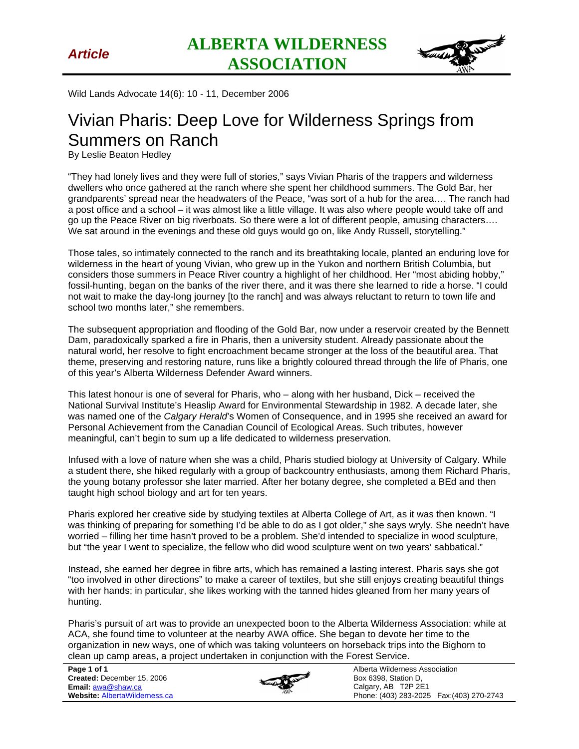

Wild Lands Advocate 14(6): 10 - 11, December 2006

## Vivian Pharis: Deep Love for Wilderness Springs from Summers on Ranch

By Leslie Beaton Hedley

"They had lonely lives and they were full of stories," says Vivian Pharis of the trappers and wilderness dwellers who once gathered at the ranch where she spent her childhood summers. The Gold Bar, her grandparents' spread near the headwaters of the Peace, "was sort of a hub for the area…. The ranch had a post office and a school – it was almost like a little village. It was also where people would take off and go up the Peace River on big riverboats. So there were a lot of different people, amusing characters…. We sat around in the evenings and these old guys would go on, like Andy Russell, storytelling."

Those tales, so intimately connected to the ranch and its breathtaking locale, planted an enduring love for wilderness in the heart of young Vivian, who grew up in the Yukon and northern British Columbia, but considers those summers in Peace River country a highlight of her childhood. Her "most abiding hobby," fossil-hunting, began on the banks of the river there, and it was there she learned to ride a horse. "I could not wait to make the day-long journey [to the ranch] and was always reluctant to return to town life and school two months later," she remembers.

The subsequent appropriation and flooding of the Gold Bar, now under a reservoir created by the Bennett Dam, paradoxically sparked a fire in Pharis, then a university student. Already passionate about the natural world, her resolve to fight encroachment became stronger at the loss of the beautiful area. That theme, preserving and restoring nature, runs like a brightly coloured thread through the life of Pharis, one of this year's Alberta Wilderness Defender Award winners.

This latest honour is one of several for Pharis, who – along with her husband, Dick – received the National Survival Institute's Heaslip Award for Environmental Stewardship in 1982. A decade later, she was named one of the *Calgary Herald*'s Women of Consequence, and in 1995 she received an award for Personal Achievement from the Canadian Council of Ecological Areas. Such tributes, however meaningful, can't begin to sum up a life dedicated to wilderness preservation.

Infused with a love of nature when she was a child, Pharis studied biology at University of Calgary. While a student there, she hiked regularly with a group of backcountry enthusiasts, among them Richard Pharis, the young botany professor she later married. After her botany degree, she completed a BEd and then taught high school biology and art for ten years.

Pharis explored her creative side by studying textiles at Alberta College of Art, as it was then known. "I was thinking of preparing for something I'd be able to do as I got older," she says wryly. She needn't have worried – filling her time hasn't proved to be a problem. She'd intended to specialize in wood sculpture, but "the year I went to specialize, the fellow who did wood sculpture went on two years' sabbatical."

Instead, she earned her degree in fibre arts, which has remained a lasting interest. Pharis says she got "too involved in other directions" to make a career of textiles, but she still enjoys creating beautiful things with her hands; in particular, she likes working with the tanned hides gleaned from her many years of hunting.

Pharis's pursuit of art was to provide an unexpected boon to the Alberta Wilderness Association: while at ACA, she found time to volunteer at the nearby AWA office. She began to devote her time to the organization in new ways, one of which was taking volunteers on horseback trips into the Bighorn to clean up camp areas, a project undertaken in conjunction with the Forest Service.

**Page 1 of 1 Created:** December 15, 2006 **Email:** awa@shaw.ca **Website:** AlbertaWilderness.ca



Alberta Wilderness Association Box 6398, Station D, Calgary, AB T2P 2E1 Phone: (403) 283-2025 Fax:(403) 270-2743